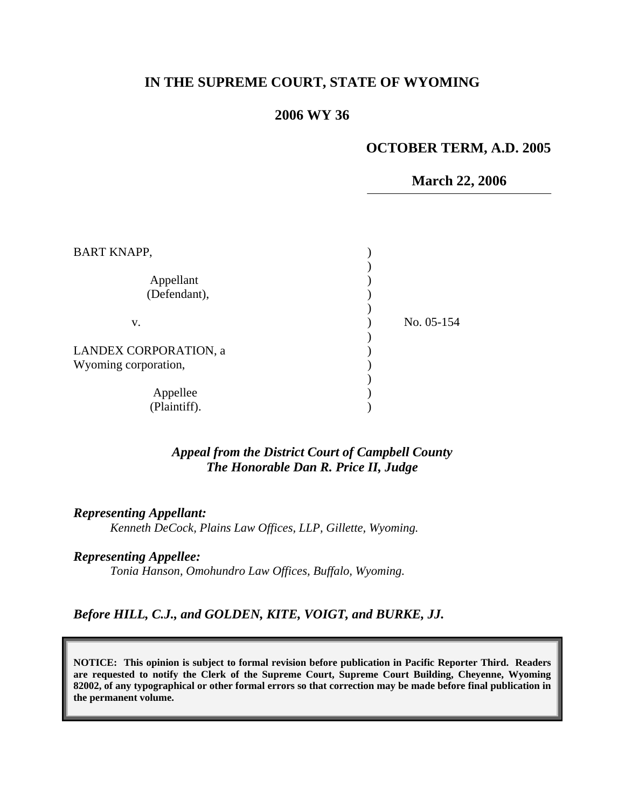## **IN THE SUPREME COURT, STATE OF WYOMING**

### **2006 WY 36**

## **OCTOBER TERM, A.D. 2005**

#### **March 22, 2006**

| No. 05-154 |
|------------|
|            |
|            |
|            |
|            |
|            |
|            |
|            |

### *Appeal from the District Court of Campbell County The Honorable Dan R. Price II, Judge*

#### *Representing Appellant:*

*Kenneth DeCock, Plains Law Offices, LLP, Gillette, Wyoming.* 

#### *Representing Appellee:*

*Tonia Hanson, Omohundro Law Offices, Buffalo, Wyoming.* 

### *Before HILL, C.J., and GOLDEN, KITE, VOIGT, and BURKE, JJ.*

**NOTICE: This opinion is subject to formal revision before publication in Pacific Reporter Third. Readers are requested to notify the Clerk of the Supreme Court, Supreme Court Building, Cheyenne, Wyoming 82002, of any typographical or other formal errors so that correction may be made before final publication in the permanent volume.**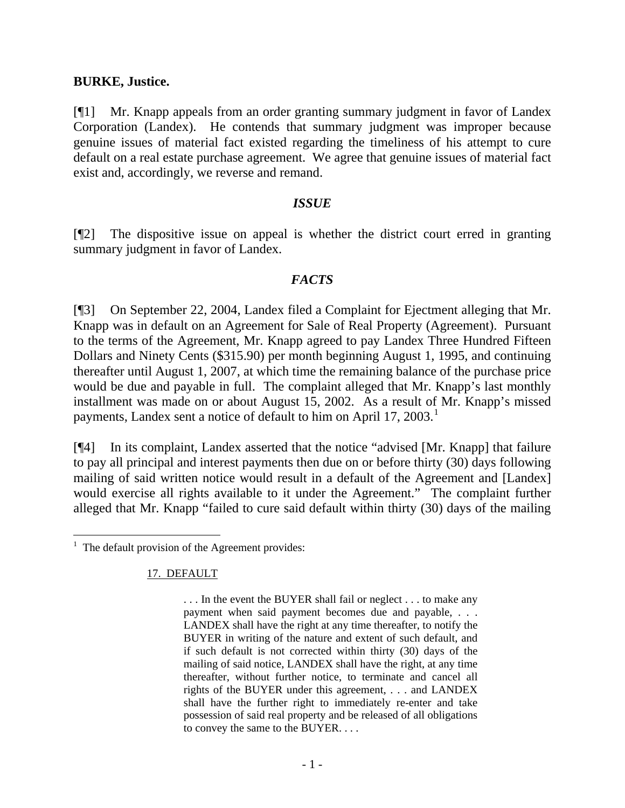#### **BURKE, Justice.**

[¶1] Mr. Knapp appeals from an order granting summary judgment in favor of Landex Corporation (Landex). He contends that summary judgment was improper because genuine issues of material fact existed regarding the timeliness of his attempt to cure default on a real estate purchase agreement. We agree that genuine issues of material fact exist and, accordingly, we reverse and remand.

### *ISSUE*

[¶2] The dispositive issue on appeal is whether the district court erred in granting summary judgment in favor of Landex.

## *FACTS*

[¶3] On September 22, 2004, Landex filed a Complaint for Ejectment alleging that Mr. Knapp was in default on an Agreement for Sale of Real Property (Agreement). Pursuant to the terms of the Agreement, Mr. Knapp agreed to pay Landex Three Hundred Fifteen Dollars and Ninety Cents (\$315.90) per month beginning August 1, 1995, and continuing thereafter until August 1, 2007, at which time the remaining balance of the purchase price would be due and payable in full. The complaint alleged that Mr. Knapp's last monthly installment was made on or about August 15, 2002. As a result of Mr. Knapp's missed payments, Landex sent a notice of default to him on April [1](#page-1-0)7, 2003.<sup>1</sup>

[¶4] In its complaint, Landex asserted that the notice "advised [Mr. Knapp] that failure to pay all principal and interest payments then due on or before thirty (30) days following mailing of said written notice would result in a default of the Agreement and [Landex] would exercise all rights available to it under the Agreement." The complaint further alleged that Mr. Knapp "failed to cure said default within thirty (30) days of the mailing

17. DEFAULT

 $\overline{a}$ 

<span id="page-1-0"></span> $<sup>1</sup>$  The default provision of the Agreement provides:</sup>

<sup>. . .</sup> In the event the BUYER shall fail or neglect . . . to make any payment when said payment becomes due and payable, . . . LANDEX shall have the right at any time thereafter, to notify the BUYER in writing of the nature and extent of such default, and if such default is not corrected within thirty (30) days of the mailing of said notice, LANDEX shall have the right, at any time thereafter, without further notice, to terminate and cancel all rights of the BUYER under this agreement, . . . and LANDEX shall have the further right to immediately re-enter and take possession of said real property and be released of all obligations to convey the same to the BUYER. . . .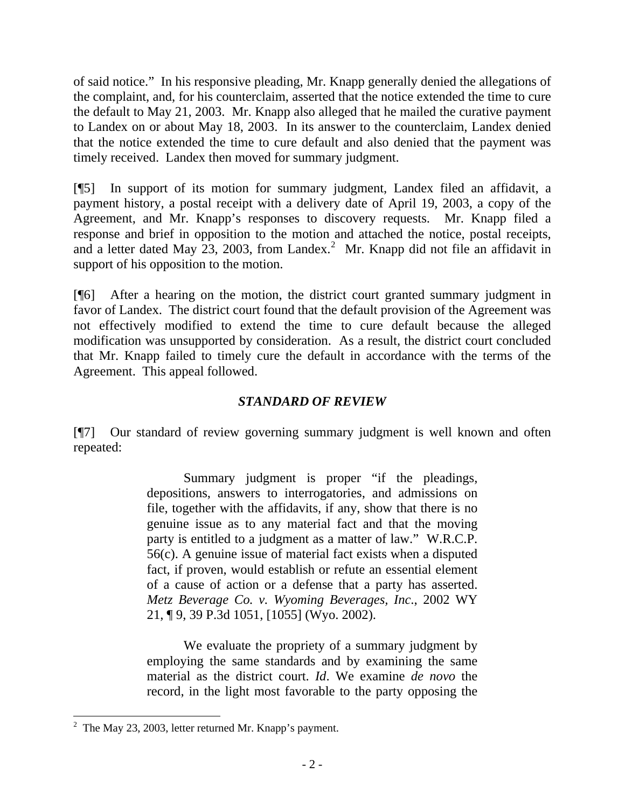of said notice." In his responsive pleading, Mr. Knapp generally denied the allegations of the complaint, and, for his counterclaim, asserted that the notice extended the time to cure the default to May 21, 2003. Mr. Knapp also alleged that he mailed the curative payment to Landex on or about May 18, 2003. In its answer to the counterclaim, Landex denied that the notice extended the time to cure default and also denied that the payment was timely received. Landex then moved for summary judgment.

[¶5] In support of its motion for summary judgment, Landex filed an affidavit, a payment history, a postal receipt with a delivery date of April 19, 2003, a copy of the Agreement, and Mr. Knapp's responses to discovery requests. Mr. Knapp filed a response and brief in opposition to the motion and attached the notice, postal receipts, and a letter dated May [2](#page-2-0)3, 2003, from Landex.<sup>2</sup> Mr. Knapp did not file an affidavit in support of his opposition to the motion.

[¶6] After a hearing on the motion, the district court granted summary judgment in favor of Landex. The district court found that the default provision of the Agreement was not effectively modified to extend the time to cure default because the alleged modification was unsupported by consideration. As a result, the district court concluded that Mr. Knapp failed to timely cure the default in accordance with the terms of the Agreement. This appeal followed.

# *STANDARD OF REVIEW*

[¶7] Our standard of review governing summary judgment is well known and often repeated:

> Summary judgment is proper "if the pleadings, depositions, answers to interrogatories, and admissions on file, together with the affidavits, if any, show that there is no genuine issue as to any material fact and that the moving party is entitled to a judgment as a matter of law." W.R.C.P. 56(c). A genuine issue of material fact exists when a disputed fact, if proven, would establish or refute an essential element of a cause of action or a defense that a party has asserted. *Metz Beverage Co. v. Wyoming Beverages, Inc*., 2002 WY 21, ¶ 9, 39 P.3d 1051, [1055] (Wyo. 2002).

> We evaluate the propriety of a summary judgment by employing the same standards and by examining the same material as the district court. *Id*. We examine *de novo* the record, in the light most favorable to the party opposing the

 $\overline{a}$ 

<span id="page-2-0"></span><sup>&</sup>lt;sup>2</sup> The May 23, 2003, letter returned Mr. Knapp's payment.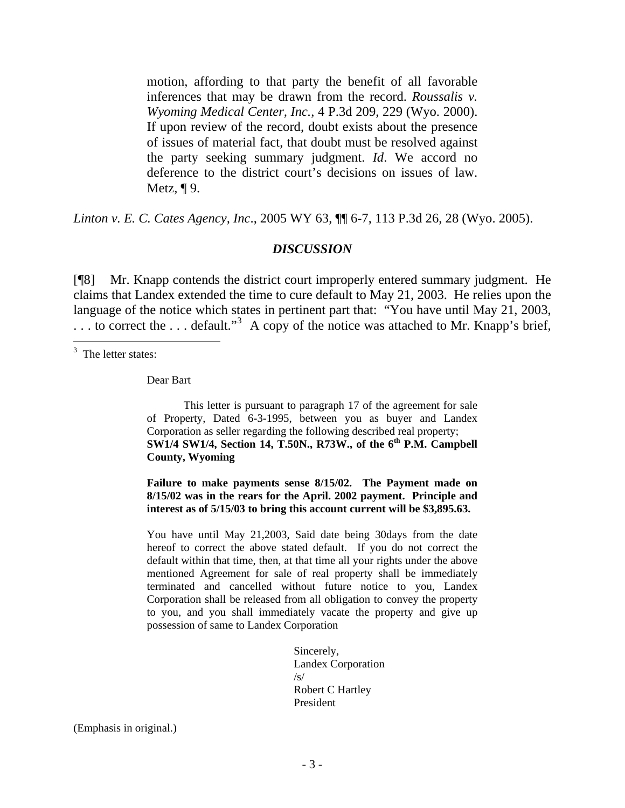motion, affording to that party the benefit of all favorable inferences that may be drawn from the record. *Roussalis v. Wyoming Medical Center, Inc.*, 4 P.3d 209, 229 (Wyo. 2000). If upon review of the record, doubt exists about the presence of issues of material fact, that doubt must be resolved against the party seeking summary judgment. *Id*. We accord no deference to the district court's decisions on issues of law. Metz,  $\P$ 9.

*Linton v. E. C. Cates Agency, Inc*[., 2005 WY 63, ¶¶ 6-7, 113 P.3d 26, 28 \(Wyo. 2005\)](http://www.lexis.com/research/xlink?app=00075&view=full&searchtype=get&search=2005+WY+63%2C+P6).

### *DISCUSSION*

[¶8] Mr. Knapp contends the district court improperly entered summary judgment. He claims that Landex extended the time to cure default to May 21, 2003. He relies upon the language of the notice which states in pertinent part that: "You have until May 21, 2003, ... to correct the ... default."<sup>[3](#page-3-0)</sup> A copy of the notice was attached to Mr. Knapp's brief,

 $\overline{a}$ 

Dear Bart

 This letter is pursuant to paragraph 17 of the agreement for sale of Property, Dated 6-3-1995, between you as buyer and Landex Corporation as seller regarding the following described real property; **SW1/4 SW1/4, Section 14, T.50N., R73W., of the 6th P.M. Campbell County, Wyoming** 

**Failure to make payments sense 8/15/02. The Payment made on 8/15/02 was in the rears for the April. 2002 payment. Principle and interest as of 5/15/03 to bring this account current will be \$3,895.63.** 

You have until May 21,2003, Said date being 30days from the date hereof to correct the above stated default. If you do not correct the default within that time, then, at that time all your rights under the above mentioned Agreement for sale of real property shall be immediately terminated and cancelled without future notice to you, Landex Corporation shall be released from all obligation to convey the property to you, and you shall immediately vacate the property and give up possession of same to Landex Corporation

> Sincerely, Landex Corporation  $\sqrt{s}$ Robert C Hartley President

(Emphasis in original.)

<span id="page-3-0"></span><sup>&</sup>lt;sup>3</sup> The letter states: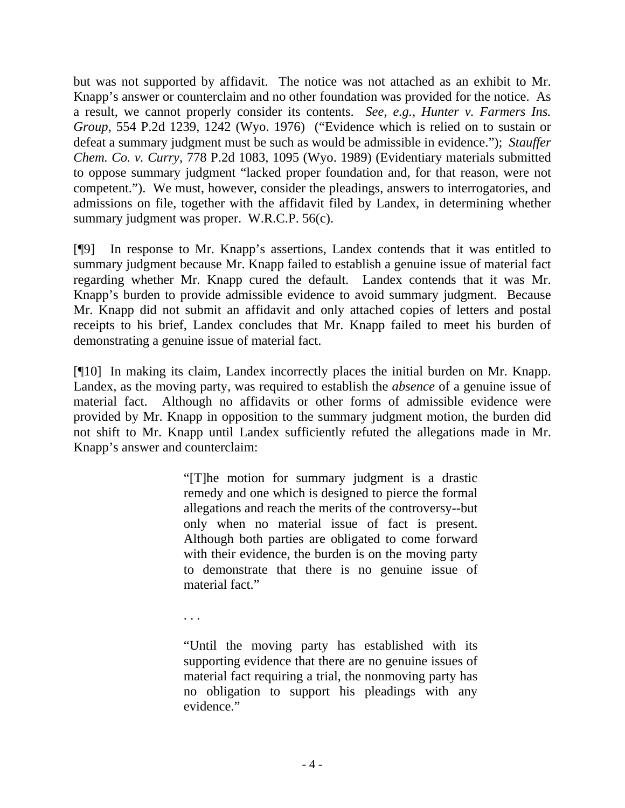but was not supported by affidavit. The notice was not attached as an exhibit to Mr. Knapp's answer or counterclaim and no other foundation was provided for the notice. As a result, we cannot properly consider its contents. *See, e.g., [Hunter v. Farmers Ins.](http://www.lexis.com/research/xlink?app=00075&view=full&searchtype=get&search=554+P.2d+1242)  Group*[, 554 P.2d 1239, 1242 \(Wyo. 1976\)](http://www.lexis.com/research/xlink?app=00075&view=full&searchtype=get&search=554+P.2d+1242) ("Evidence which is relied on to sustain or defeat a summary judgment must be such as would be admissible in evidence."); *[Stauffer](http://www.lexis.com/research/xlink?app=00075&view=full&searchtype=get&search=778+P.2d+1095)  Chem. Co. v. Curry*[, 778 P.2d 1083, 1095 \(Wyo. 1989\)](http://www.lexis.com/research/xlink?app=00075&view=full&searchtype=get&search=778+P.2d+1095) (Evidentiary materials submitted to oppose summary judgment "lacked proper foundation and, for that reason, were not competent."). We must, however, consider the pleadings, answers to interrogatories, and admissions on file, together with the affidavit filed by Landex, in determining whether summary judgment was proper. W.R.C.P. 56(c).

[¶9] In response to Mr. Knapp's assertions, Landex contends that it was entitled to summary judgment because Mr. Knapp failed to establish a genuine issue of material fact regarding whether Mr. Knapp cured the default. Landex contends that it was Mr. Knapp's burden to provide admissible evidence to avoid summary judgment. Because Mr. Knapp did not submit an affidavit and only attached copies of letters and postal receipts to his brief, Landex concludes that Mr. Knapp failed to meet his burden of demonstrating a genuine issue of material fact.

[¶10] In making its claim, Landex incorrectly places the initial burden on Mr. Knapp. Landex, as the moving party, was required to establish the *absence* of a genuine issue of material fact. Although no affidavits or other forms of admissible evidence were provided by Mr. Knapp in opposition to the summary judgment motion, the burden did not shift to Mr. Knapp until Landex sufficiently refuted the allegations made in Mr. Knapp's answer and counterclaim:

> "[T]he motion for summary judgment is a drastic remedy and one which is designed to pierce the formal allegations and reach the merits of the controversy--but only when no material issue of fact is present. Although both parties are obligated to come forward with their evidence, the burden is on the moving party to demonstrate that there is no genuine issue of material fact."

. . .

"Until the moving party has established with its supporting evidence that there are no genuine issues of material fact requiring a trial, the nonmoving party has no obligation to support his pleadings with any evidence."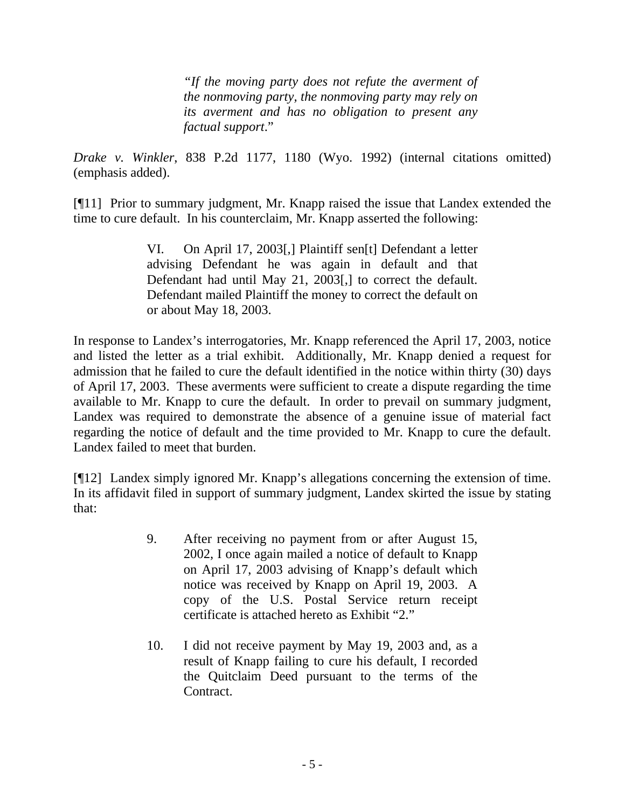*"If the moving party does not refute the averment of the nonmoving party, the nonmoving party may rely on its averment and has no obligation to present any factual support*."

*Drake v. Winkler*[, 838 P.2d 1177, 1180 \(Wyo. 1992\)](http://www.lexis.com/research/xlink?app=00075&view=full&searchtype=get&search=838+P.2d+1180) (internal citations omitted) (emphasis added).

[¶11] Prior to summary judgment, Mr. Knapp raised the issue that Landex extended the time to cure default. In his counterclaim, Mr. Knapp asserted the following:

> VI. On April 17, 2003[,] Plaintiff sen[t] Defendant a letter advising Defendant he was again in default and that Defendant had until May 21, 2003[,] to correct the default. Defendant mailed Plaintiff the money to correct the default on or about May 18, 2003.

In response to Landex's interrogatories, Mr. Knapp referenced the April 17, 2003, notice and listed the letter as a trial exhibit. Additionally, Mr. Knapp denied a request for admission that he failed to cure the default identified in the notice within thirty (30) days of April 17, 2003. These averments were sufficient to create a dispute regarding the time available to Mr. Knapp to cure the default. In order to prevail on summary judgment, Landex was required to demonstrate the absence of a genuine issue of material fact regarding the notice of default and the time provided to Mr. Knapp to cure the default. Landex failed to meet that burden.

[¶12] Landex simply ignored Mr. Knapp's allegations concerning the extension of time. In its affidavit filed in support of summary judgment, Landex skirted the issue by stating that:

- 9. After receiving no payment from or after August 15, 2002, I once again mailed a notice of default to Knapp on April 17, 2003 advising of Knapp's default which notice was received by Knapp on April 19, 2003. A copy of the U.S. Postal Service return receipt certificate is attached hereto as Exhibit "2."
- 10. I did not receive payment by May 19, 2003 and, as a result of Knapp failing to cure his default, I recorded the Quitclaim Deed pursuant to the terms of the Contract.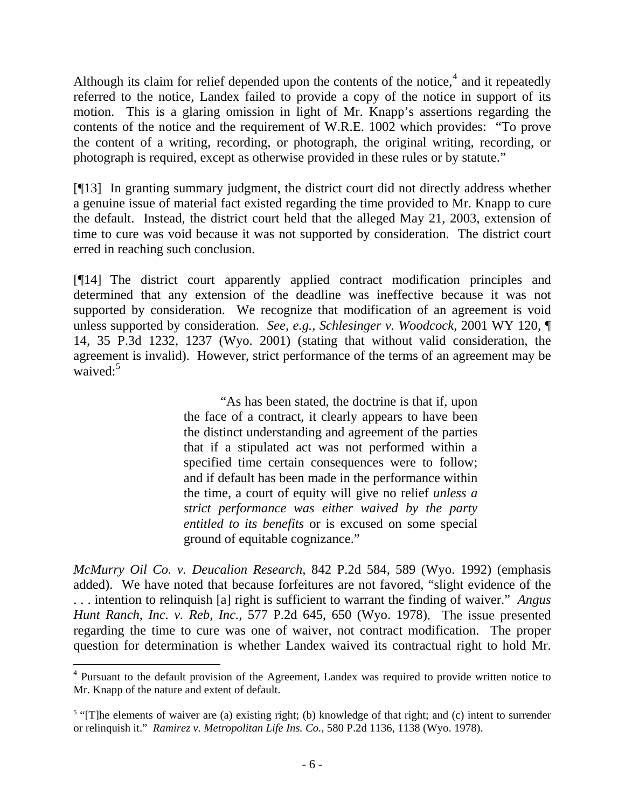Although its claim for relief depended upon the contents of the notice, $4$  and it repeatedly referred to the notice, Landex failed to provide a copy of the notice in support of its motion. This is a glaring omission in light of Mr. Knapp's assertions regarding the contents of the notice and the requirement of W.R.E. 1002 which provides: "To prove the content of a writing, recording, or photograph, the original writing, recording, or photograph is required, except as otherwise provided in these rules or by statute."

[¶13] In granting summary judgment, the district court did not directly address whether a genuine issue of material fact existed regarding the time provided to Mr. Knapp to cure the default. Instead, the district court held that the alleged May 21, 2003, extension of time to cure was void because it was not supported by consideration. The district court erred in reaching such conclusion.

[¶14] The district court apparently applied contract modification principles and determined that any extension of the deadline was ineffective because it was not supported by consideration. We recognize that modification of an agreement is void unless supported by consideration. *See, e.g., [Schlesinger v. Woodcock](http://www.lexis.com/research/xlink?app=00075&view=full&searchtype=get&search=2001+WY+120%2C+P14)*, 2001 WY 120, ¶ [14, 35 P.3d 1232, 1237 \(Wyo. 2001\)](http://www.lexis.com/research/xlink?app=00075&view=full&searchtype=get&search=2001+WY+120%2C+P14) (stating that without valid consideration, the agreement is invalid). However, strict performance of the terms of an agreement may be waived: $5$ 

> "As has been stated, the doctrine is that if, upon the face of a contract, it clearly appears to have been the distinct understanding and agreement of the parties that if a stipulated act was not performed within a specified time certain consequences were to follow; and if default has been made in the performance within the time, a court of equity will give no relief *unless a strict performance was either waived by the party entitled to its benefits* or is excused on some special ground of equitable cognizance."

*[McMurry Oil Co. v. Deucalion Research](http://www.lexis.com/research/xlink?app=00075&view=full&searchtype=get&search=842+P.2d+589)*, 842 P.2d 584, 589 (Wyo. 1992) (emphasis added). We have noted that because forfeitures are not favored, "slight evidence of the . . . intention to relinquish [a] right is sufficient to warrant the finding of waiver." *[Angus](http://www.lexis.com/research/xlink?app=00075&view=full&searchtype=get&search=577+P.2d+650)  Hunt Ranch, Inc. v. Reb, Inc.*[, 577 P.2d 645, 650 \(Wyo. 1978\).](http://www.lexis.com/research/xlink?app=00075&view=full&searchtype=get&search=577+P.2d+650) The issue presented regarding the time to cure was one of waiver, not contract modification. The proper question for determination is whether Landex waived its contractual right to hold Mr.

 $\overline{a}$ 

<span id="page-6-0"></span><sup>&</sup>lt;sup>4</sup> Pursuant to the default provision of the Agreement, Landex was required to provide written notice to Mr. Knapp of the nature and extent of default.

<span id="page-6-1"></span> $5$  "[T]he elements of waiver are (a) existing right; (b) knowledge of that right; and (c) intent to surrender or relinquish it." *[Ramirez v. Metropolitan Life Ins. Co.](http://www.lexis.com/research/xlink?app=00075&view=full&searchtype=get&search=580+P.2d+1138)*, 580 P.2d 1136, 1138 (Wyo. 1978).